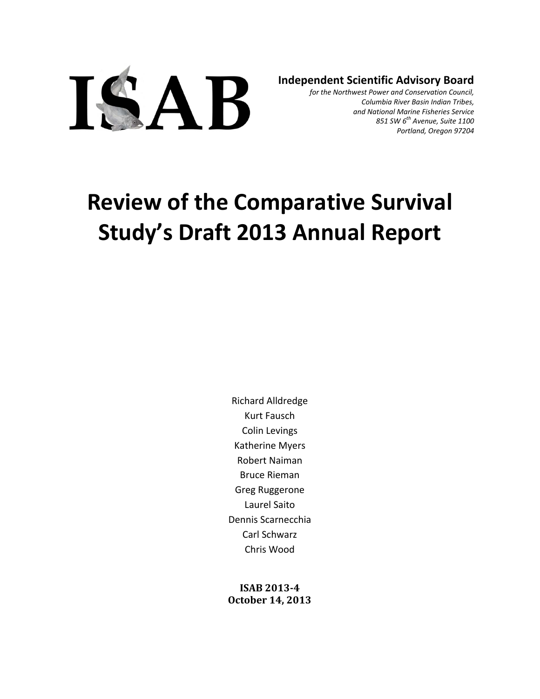

**Independent Scientific Advisory Board**

*for the Northwest Power and Conservation Council, Columbia River Basin Indian Tribes, and National Marine Fisheries Service 851 SW 6th Avenue, Suite 1100 Portland, Oregon 97204*

# **Review of the Comparative Survival Study's Draft 2013 Annual Report**

Richard Alldredge Kurt Fausch Colin Levings Katherine Myers Robert Naiman Bruce Rieman Greg Ruggerone Laurel Saito Dennis Scarnecchia Carl Schwarz Chris Wood

**ISAB 2013‐4 October 14, 2013**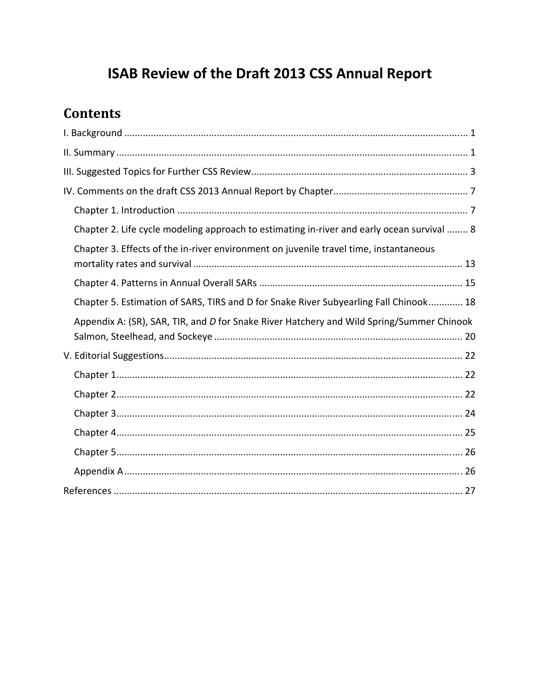# ISAB Review of the Draft 2013 CSS Annual Report

## **Contents**

| Chapter 2. Life cycle modeling approach to estimating in-river and early ocean survival  8 |
|--------------------------------------------------------------------------------------------|
| Chapter 3. Effects of the in-river environment on juvenile travel time, instantaneous      |
|                                                                                            |
|                                                                                            |
| Chapter 5. Estimation of SARS, TIRS and D for Snake River Subyearling Fall Chinook 18      |
| Appendix A: (SR), SAR, TIR, and D for Snake River Hatchery and Wild Spring/Summer Chinook  |
|                                                                                            |
|                                                                                            |
|                                                                                            |
|                                                                                            |
|                                                                                            |
|                                                                                            |
|                                                                                            |
|                                                                                            |
|                                                                                            |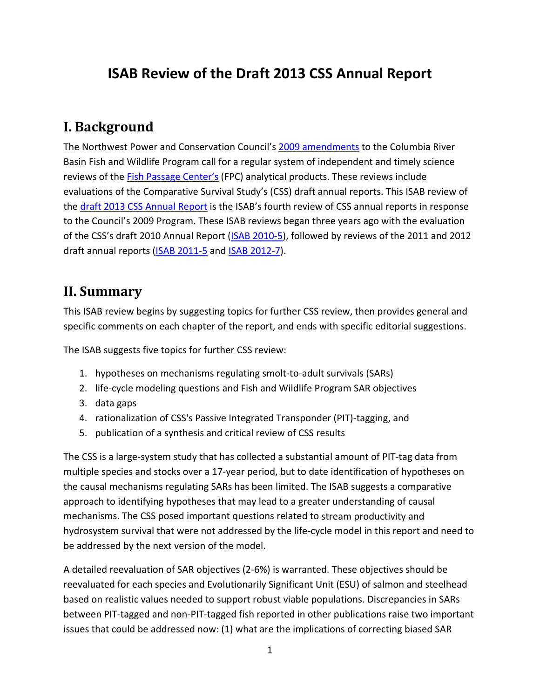## **ISAB Review of the Draft 2013 CSS Annual Report**

#### **I. Background**

The Northwest Power and Conservation Council's 2009 amendments to the Columbia River Basin Fish and Wildlife Program call for a regular system of independent and timely science reviews of the Fish Passage Center's (FPC) analytical products. These reviews include evaluations of the Comparative Survival Study's (CSS) draft annual reports. This ISAB review of the draft 2013 CSS Annual Report is the ISAB's fourth review of CSS annual reports in response to the Council's 2009 Program. These ISAB reviews began three years ago with the evaluation of the CSS's draft 2010 Annual Report (ISAB 2010‐5), followed by reviews of the 2011 and 2012 draft annual reports (ISAB 2011‐5 and ISAB 2012‐7).

#### **II. Summary**

This ISAB review begins by suggesting topics for further CSS review, then provides general and specific comments on each chapter of the report, and ends with specific editorial suggestions.

The ISAB suggests five topics for further CSS review:

- 1. hypotheses on mechanisms regulating smolt‐to‐adult survivals (SARs)
- 2. life-cycle modeling questions and Fish and Wildlife Program SAR objectives
- 3. data gaps
- 4. rationalization of CSS's Passive Integrated Transponder (PIT)‐tagging, and
- 5. publication of a synthesis and critical review of CSS results

The CSS is a large-system study that has collected a substantial amount of PIT-tag data from multiple species and stocks over a 17‐year period, but to date identification of hypotheses on the causal mechanisms regulating SARs has been limited. The ISAB suggests a comparative approach to identifying hypotheses that may lead to a greater understanding of causal mechanisms. The CSS posed important questions related to stream productivity and hydrosystem survival that were not addressed by the life‐cycle model in this report and need to be addressed by the next version of the model.

A detailed reevaluation of SAR objectives (2‐6%) is warranted. These objectives should be reevaluated for each species and Evolutionarily Significant Unit (ESU) of salmon and steelhead based on realistic values needed to support robust viable populations. Discrepancies in SARs between PIT‐tagged and non‐PIT‐tagged fish reported in other publications raise two important issues that could be addressed now: (1) what are the implications of correcting biased SAR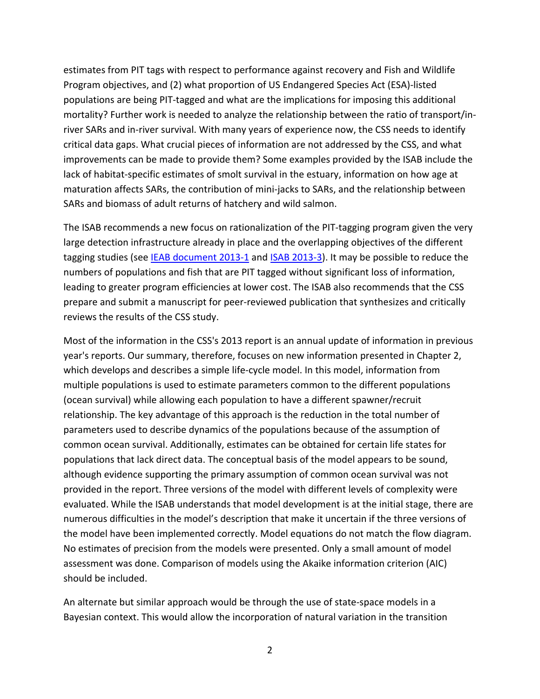estimates from PIT tags with respect to performance against recovery and Fish and Wildlife Program objectives, and (2) what proportion of US Endangered Species Act (ESA)‐listed populations are being PIT‐tagged and what are the implications for imposing this additional mortality? Further work is needed to analyze the relationship between the ratio of transport/in‐ river SARs and in-river survival. With many years of experience now, the CSS needs to identify critical data gaps. What crucial pieces of information are not addressed by the CSS, and what improvements can be made to provide them? Some examples provided by the ISAB include the lack of habitat-specific estimates of smolt survival in the estuary, information on how age at maturation affects SARs, the contribution of mini‐jacks to SARs, and the relationship between SARs and biomass of adult returns of hatchery and wild salmon.

The ISAB recommends a new focus on rationalization of the PIT-tagging program given the very large detection infrastructure already in place and the overlapping objectives of the different tagging studies (see **IEAB document 2013-1** and **ISAB 2013-3**). It may be possible to reduce the numbers of populations and fish that are PIT tagged without significant loss of information, leading to greater program efficiencies at lower cost. The ISAB also recommends that the CSS prepare and submit a manuscript for peer‐reviewed publication that synthesizes and critically reviews the results of the CSS study.

Most of the information in the CSS's 2013 report is an annual update of information in previous year's reports. Our summary, therefore, focuses on new information presented in Chapter 2, which develops and describes a simple life‐cycle model. In this model, information from multiple populations is used to estimate parameters common to the different populations (ocean survival) while allowing each population to have a different spawner/recruit relationship. The key advantage of this approach is the reduction in the total number of parameters used to describe dynamics of the populations because of the assumption of common ocean survival. Additionally, estimates can be obtained for certain life states for populations that lack direct data. The conceptual basis of the model appears to be sound, although evidence supporting the primary assumption of common ocean survival was not provided in the report. Three versions of the model with different levels of complexity were evaluated. While the ISAB understands that model development is at the initial stage, there are numerous difficulties in the model's description that make it uncertain if the three versions of the model have been implemented correctly. Model equations do not match the flow diagram. No estimates of precision from the models were presented. Only a small amount of model assessment was done. Comparison of models using the Akaike information criterion (AIC) should be included.

An alternate but similar approach would be through the use of state‐space models in a Bayesian context. This would allow the incorporation of natural variation in the transition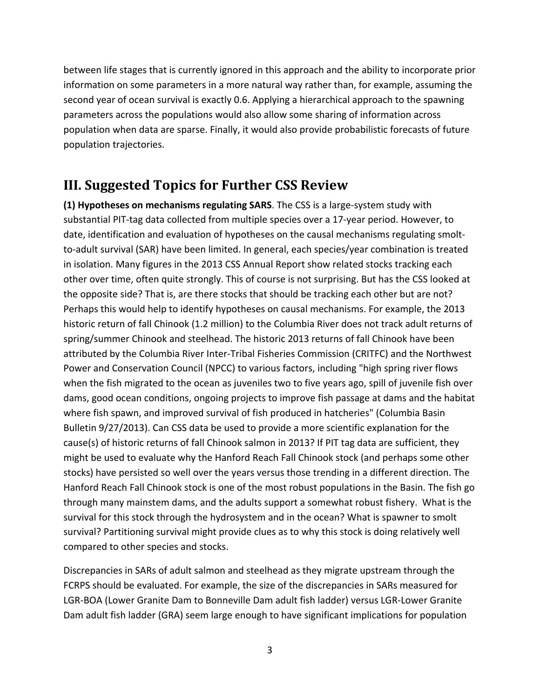between life stages that is currently ignored in this approach and the ability to incorporate prior information on some parameters in a more natural way rather than, for example, assuming the second year of ocean survival is exactly 0.6. Applying a hierarchical approach to the spawning parameters across the populations would also allow some sharing of information across population when data are sparse. Finally, it would also provide probabilistic forecasts of future population trajectories.

## **III. Suggested Topics for Further CSS Review**

**(1) Hypotheses on mechanisms regulating SARS**. The CSS is a large‐system study with substantial PIT‐tag data collected from multiple species over a 17‐year period. However, to date, identification and evaluation of hypotheses on the causal mechanisms regulating smolt‐ to‐adult survival (SAR) have been limited. In general, each species/year combination is treated in isolation. Many figures in the 2013 CSS Annual Report show related stocks tracking each other over time, often quite strongly. This of course is not surprising. But has the CSS looked at the opposite side? That is, are there stocks that should be tracking each other but are not? Perhaps this would help to identify hypotheses on causal mechanisms. For example, the 2013 historic return of fall Chinook (1.2 million) to the Columbia River does not track adult returns of spring/summer Chinook and steelhead. The historic 2013 returns of fall Chinook have been attributed by the Columbia River Inter‐Tribal Fisheries Commission (CRITFC) and the Northwest Power and Conservation Council (NPCC) to various factors, including "high spring river flows when the fish migrated to the ocean as juveniles two to five years ago, spill of juvenile fish over dams, good ocean conditions, ongoing projects to improve fish passage at dams and the habitat where fish spawn, and improved survival of fish produced in hatcheries" (Columbia Basin Bulletin 9/27/2013). Can CSS data be used to provide a more scientific explanation for the cause(s) of historic returns of fall Chinook salmon in 2013? If PIT tag data are sufficient, they might be used to evaluate why the Hanford Reach Fall Chinook stock (and perhaps some other stocks) have persisted so well over the years versus those trending in a different direction. The Hanford Reach Fall Chinook stock is one of the most robust populations in the Basin. The fish go through many mainstem dams, and the adults support a somewhat robust fishery. What is the survival for this stock through the hydrosystem and in the ocean? What is spawner to smolt survival? Partitioning survival might provide clues as to why this stock is doing relatively well compared to other species and stocks.

Discrepancies in SARs of adult salmon and steelhead as they migrate upstream through the FCRPS should be evaluated. For example, the size of the discrepancies in SARs measured for LGR‐BOA (Lower Granite Dam to Bonneville Dam adult fish ladder) versus LGR‐Lower Granite Dam adult fish ladder (GRA) seem large enough to have significant implications for population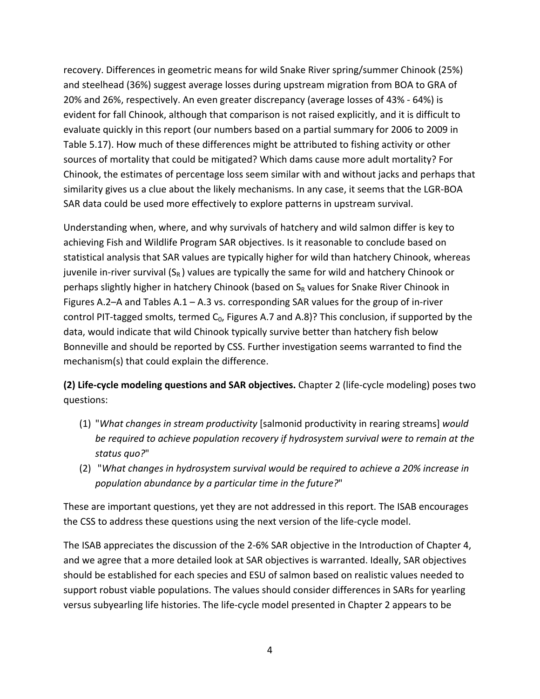recovery. Differences in geometric means for wild Snake River spring/summer Chinook (25%) and steelhead (36%) suggest average losses during upstream migration from BOA to GRA of 20% and 26%, respectively. An even greater discrepancy (average losses of 43% ‐ 64%) is evident for fall Chinook, although that comparison is not raised explicitly, and it is difficult to evaluate quickly in this report (our numbers based on a partial summary for 2006 to 2009 in Table 5.17). How much of these differences might be attributed to fishing activity or other sources of mortality that could be mitigated? Which dams cause more adult mortality? For Chinook, the estimates of percentage loss seem similar with and without jacks and perhaps that similarity gives us a clue about the likely mechanisms. In any case, it seems that the LGR‐BOA SAR data could be used more effectively to explore patterns in upstream survival.

Understanding when, where, and why survivals of hatchery and wild salmon differ is key to achieving Fish and Wildlife Program SAR objectives. Is it reasonable to conclude based on statistical analysis that SAR values are typically higher for wild than hatchery Chinook, whereas juvenile in-river survival  $(S_R)$  values are typically the same for wild and hatchery Chinook or perhaps slightly higher in hatchery Chinook (based on  $S_R$  values for Snake River Chinook in Figures A.2–A and Tables A.1 – A.3 vs. corresponding SAR values for the group of in-river control PIT-tagged smolts, termed C<sub>0</sub>, Figures A.7 and A.8)? This conclusion, if supported by the data, would indicate that wild Chinook typically survive better than hatchery fish below Bonneville and should be reported by CSS. Further investigation seems warranted to find the mechanism(s) that could explain the difference.

**(2) Life‐cycle modeling questions and SAR objectives.** Chapter 2 (life‐cycle modeling) poses two questions:

- (1) "*What changes in stream productivity* [salmonid productivity in rearing streams] *would be required to achieve population recovery if hydrosystem survival were to remain at the status quo?*"
- (2) "*What changes in hydrosystem survival would be required to achieve a 20% increase in population abundance by a particular time in the future?*"

These are important questions, yet they are not addressed in this report. The ISAB encourages the CSS to address these questions using the next version of the life‐cycle model.

The ISAB appreciates the discussion of the 2-6% SAR objective in the Introduction of Chapter 4, and we agree that a more detailed look at SAR objectives is warranted. Ideally, SAR objectives should be established for each species and ESU of salmon based on realistic values needed to support robust viable populations. The values should consider differences in SARs for yearling versus subyearling life histories. The life‐cycle model presented in Chapter 2 appears to be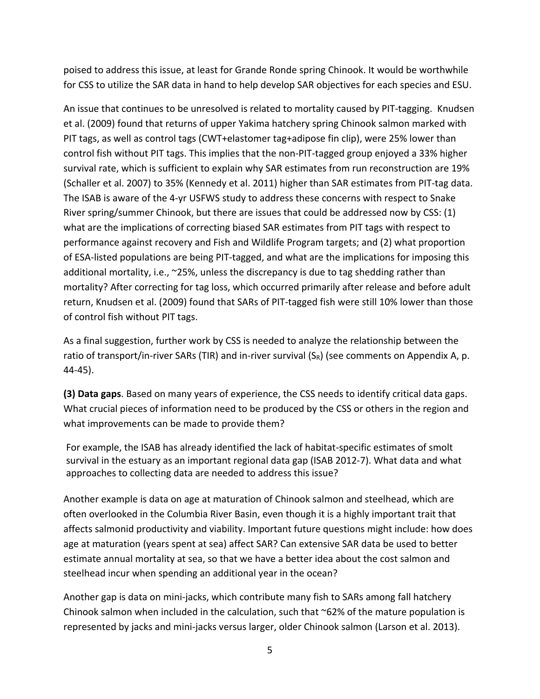poised to address this issue, at least for Grande Ronde spring Chinook. It would be worthwhile for CSS to utilize the SAR data in hand to help develop SAR objectives for each species and ESU.

An issue that continues to be unresolved is related to mortality caused by PIT‐tagging. Knudsen et al. (2009) found that returns of upper Yakima hatchery spring Chinook salmon marked with PIT tags, as well as control tags (CWT+elastomer tag+adipose fin clip), were 25% lower than control fish without PIT tags. This implies that the non‐PIT‐tagged group enjoyed a 33% higher survival rate, which is sufficient to explain why SAR estimates from run reconstruction are 19% (Schaller et al. 2007) to 35% (Kennedy et al. 2011) higher than SAR estimates from PIT‐tag data. The ISAB is aware of the 4‐yr USFWS study to address these concerns with respect to Snake River spring/summer Chinook, but there are issues that could be addressed now by CSS: (1) what are the implications of correcting biased SAR estimates from PIT tags with respect to performance against recovery and Fish and Wildlife Program targets; and (2) what proportion of ESA‐listed populations are being PIT‐tagged, and what are the implications for imposing this additional mortality, i.e., ~25%, unless the discrepancy is due to tag shedding rather than mortality? After correcting for tag loss, which occurred primarily after release and before adult return, Knudsen et al. (2009) found that SARs of PIT‐tagged fish were still 10% lower than those of control fish without PIT tags.

As a final suggestion, further work by CSS is needed to analyze the relationship between the ratio of transport/in-river SARs (TIR) and in-river survival  $(S_R)$  (see comments on Appendix A, p. 44‐45).

**(3) Data gaps**. Based on many years of experience, the CSS needs to identify critical data gaps. What crucial pieces of information need to be produced by the CSS or others in the region and what improvements can be made to provide them?

For example, the ISAB has already identified the lack of habitat‐specific estimates of smolt survival in the estuary as an important regional data gap (ISAB 2012‐7). What data and what approaches to collecting data are needed to address this issue?

Another example is data on age at maturation of Chinook salmon and steelhead, which are often overlooked in the Columbia River Basin, even though it is a highly important trait that affects salmonid productivity and viability. Important future questions might include: how does age at maturation (years spent at sea) affect SAR? Can extensive SAR data be used to better estimate annual mortality at sea, so that we have a better idea about the cost salmon and steelhead incur when spending an additional year in the ocean?

Another gap is data on mini‐jacks, which contribute many fish to SARs among fall hatchery Chinook salmon when included in the calculation, such that  $\sim$  62% of the mature population is represented by jacks and mini‐jacks versus larger, older Chinook salmon (Larson et al. 2013).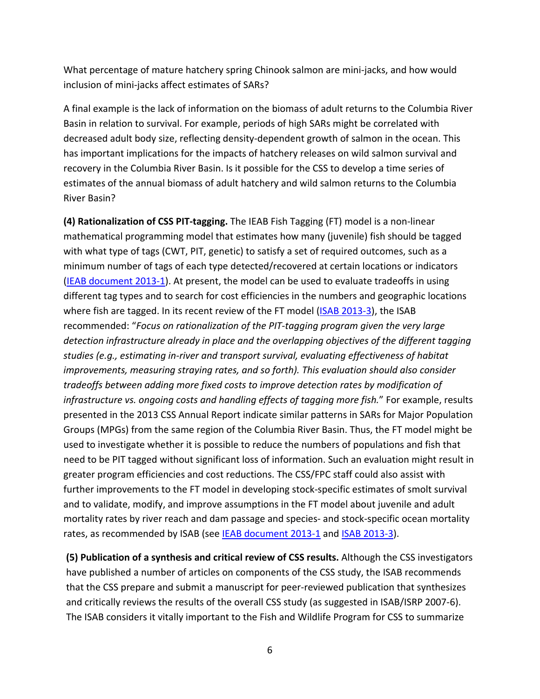What percentage of mature hatchery spring Chinook salmon are mini-jacks, and how would inclusion of mini‐jacks affect estimates of SARs?

A final example is the lack of information on the biomass of adult returns to the Columbia River Basin in relation to survival. For example, periods of high SARs might be correlated with decreased adult body size, reflecting density‐dependent growth of salmon in the ocean. This has important implications for the impacts of hatchery releases on wild salmon survival and recovery in the Columbia River Basin. Is it possible for the CSS to develop a time series of estimates of the annual biomass of adult hatchery and wild salmon returns to the Columbia River Basin?

**(4) Rationalization of CSS PIT‐tagging.** The IEAB Fish Tagging (FT) model is a non‐linear mathematical programming model that estimates how many (juvenile) fish should be tagged with what type of tags (CWT, PIT, genetic) to satisfy a set of required outcomes, such as a minimum number of tags of each type detected/recovered at certain locations or indicators (IEAB document 2013-1). At present, the model can be used to evaluate tradeoffs in using different tag types and to search for cost efficiencies in the numbers and geographic locations where fish are tagged. In its recent review of the FT model (ISAB 2013-3), the ISAB recommended: "*Focus on rationalization of the PIT‐tagging program given the very large detection infrastructure already in place and the overlapping objectives of the different tagging studies (e.g., estimating in‐river and transport survival, evaluating effectiveness of habitat improvements, measuring straying rates, and so forth). This evaluation should also consider tradeoffs between adding more fixed costs to improve detection rates by modification of infrastructure vs. ongoing costs and handling effects of tagging more fish.*" For example, results presented in the 2013 CSS Annual Report indicate similar patterns in SARs for Major Population Groups (MPGs) from the same region of the Columbia River Basin. Thus, the FT model might be used to investigate whether it is possible to reduce the numbers of populations and fish that need to be PIT tagged without significant loss of information. Such an evaluation might result in greater program efficiencies and cost reductions. The CSS/FPC staff could also assist with further improvements to the FT model in developing stock‐specific estimates of smolt survival and to validate, modify, and improve assumptions in the FT model about juvenile and adult mortality rates by river reach and dam passage and species- and stock-specific ocean mortality rates, as recommended by ISAB (see IEAB document 2013-1 and ISAB 2013-3).

**(5) Publication of a synthesis and critical review of CSS results.** Although the CSS investigators have published a number of articles on components of the CSS study, the ISAB recommends that the CSS prepare and submit a manuscript for peer‐reviewed publication that synthesizes and critically reviews the results of the overall CSS study (as suggested in ISAB/ISRP 2007‐6). The ISAB considers it vitally important to the Fish and Wildlife Program for CSS to summarize

6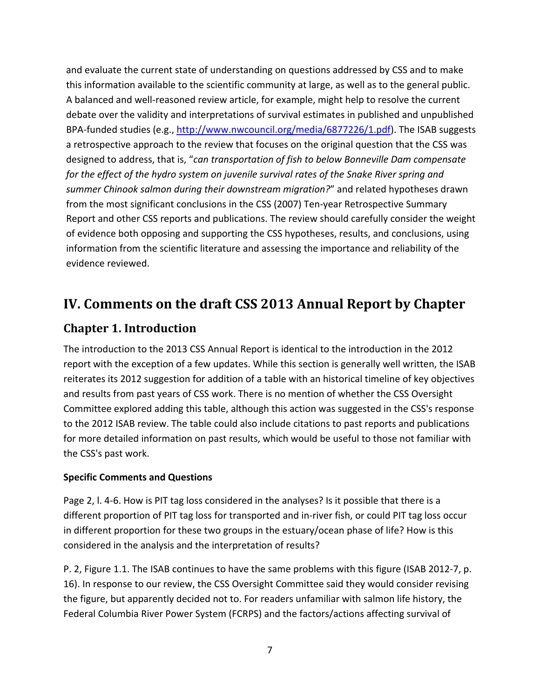and evaluate the current state of understanding on questions addressed by CSS and to make this information available to the scientific community at large, as well as to the general public. A balanced and well‐reasoned review article, for example, might help to resolve the current debate over the validity and interpretations of survival estimates in published and unpublished BPA-funded studies (e.g., http://www.nwcouncil.org/media/6877226/1.pdf). The ISAB suggests a retrospective approach to the review that focuses on the original question that the CSS was designed to address, that is, "*can transportation of fish to below Bonneville Dam compensate for the effect of the hydro system on juvenile survival rates of the Snake River spring and summer Chinook salmon during their downstream migration?*" and related hypotheses drawn from the most significant conclusions in the CSS (2007) Ten-year Retrospective Summary Report and other CSS reports and publications. The review should carefully consider the weight of evidence both opposing and supporting the CSS hypotheses, results, and conclusions, using information from the scientific literature and assessing the importance and reliability of the evidence reviewed.

## **IV. Comments on the draft CSS 2013 Annual Report by Chapter**

#### **Chapter 1. Introduction**

The introduction to the 2013 CSS Annual Report is identical to the introduction in the 2012 report with the exception of a few updates. While this section is generally well written, the ISAB reiterates its 2012 suggestion for addition of a table with an historical timeline of key objectives and results from past years of CSS work. There is no mention of whether the CSS Oversight Committee explored adding this table, although this action was suggested in the CSS's response to the 2012 ISAB review. The table could also include citations to past reports and publications for more detailed information on past results, which would be useful to those not familiar with the CSS's past work.

#### **Specific Comments and Questions**

Page 2, l. 4‐6. How is PIT tag loss considered in the analyses? Is it possible that there is a different proportion of PIT tag loss for transported and in‐river fish, or could PIT tag loss occur in different proportion for these two groups in the estuary/ocean phase of life? How is this considered in the analysis and the interpretation of results?

P. 2, Figure 1.1. The ISAB continues to have the same problems with this figure (ISAB 2012‐7, p. 16). In response to our review, the CSS Oversight Committee said they would consider revising the figure, but apparently decided not to. For readers unfamiliar with salmon life history, the Federal Columbia River Power System (FCRPS) and the factors/actions affecting survival of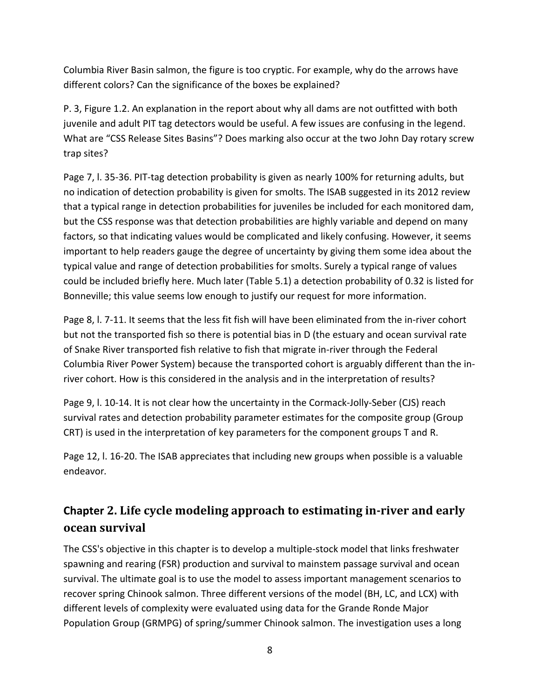Columbia River Basin salmon, the figure is too cryptic. For example, why do the arrows have different colors? Can the significance of the boxes be explained?

P. 3, Figure 1.2. An explanation in the report about why all dams are not outfitted with both juvenile and adult PIT tag detectors would be useful. A few issues are confusing in the legend. What are "CSS Release Sites Basins"? Does marking also occur at the two John Day rotary screw trap sites?

Page 7, I. 35-36. PIT-tag detection probability is given as nearly 100% for returning adults, but no indication of detection probability is given for smolts. The ISAB suggested in its 2012 review that a typical range in detection probabilities for juveniles be included for each monitored dam, but the CSS response was that detection probabilities are highly variable and depend on many factors, so that indicating values would be complicated and likely confusing. However, it seems important to help readers gauge the degree of uncertainty by giving them some idea about the typical value and range of detection probabilities for smolts. Surely a typical range of values could be included briefly here. Much later (Table 5.1) a detection probability of 0.32 is listed for Bonneville; this value seems low enough to justify our request for more information.

Page 8, I. 7-11. It seems that the less fit fish will have been eliminated from the in-river cohort but not the transported fish so there is potential bias in D (the estuary and ocean survival rate of Snake River transported fish relative to fish that migrate in‐river through the Federal Columbia River Power System) because the transported cohort is arguably different than the in‐ river cohort. How is this considered in the analysis and in the interpretation of results?

Page 9, I. 10-14. It is not clear how the uncertainty in the Cormack-Jolly-Seber (CJS) reach survival rates and detection probability parameter estimates for the composite group (Group CRT) is used in the interpretation of key parameters for the component groups T and R.

Page 12, l. 16‐20. The ISAB appreciates that including new groups when possible is a valuable endeavor*.*

## **Chapter 2. Life cycle modeling approach to estimating in‐river and early ocean survival**

The CSS's objective in this chapter is to develop a multiple‐stock model that links freshwater spawning and rearing (FSR) production and survival to mainstem passage survival and ocean survival. The ultimate goal is to use the model to assess important management scenarios to recover spring Chinook salmon. Three different versions of the model (BH, LC, and LCX) with different levels of complexity were evaluated using data for the Grande Ronde Major Population Group (GRMPG) of spring/summer Chinook salmon. The investigation uses a long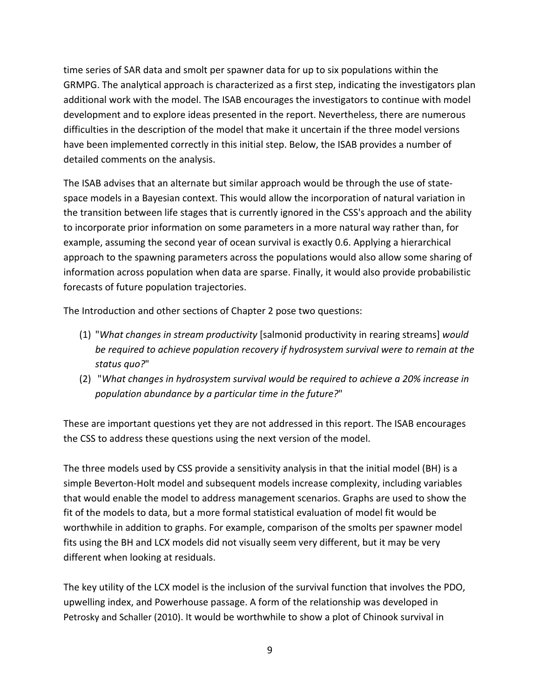time series of SAR data and smolt per spawner data for up to six populations within the GRMPG. The analytical approach is characterized as a first step, indicating the investigators plan additional work with the model. The ISAB encourages the investigators to continue with model development and to explore ideas presented in the report. Nevertheless, there are numerous difficulties in the description of the model that make it uncertain if the three model versions have been implemented correctly in this initial step. Below, the ISAB provides a number of detailed comments on the analysis.

The ISAB advises that an alternate but similar approach would be through the use of state‐ space models in a Bayesian context. This would allow the incorporation of natural variation in the transition between life stages that is currently ignored in the CSS's approach and the ability to incorporate prior information on some parameters in a more natural way rather than, for example, assuming the second year of ocean survival is exactly 0.6. Applying a hierarchical approach to the spawning parameters across the populations would also allow some sharing of information across population when data are sparse. Finally, it would also provide probabilistic forecasts of future population trajectories.

The Introduction and other sections of Chapter 2 pose two questions:

- (1) "*What changes in stream productivity* [salmonid productivity in rearing streams] *would be required to achieve population recovery if hydrosystem survival were to remain at the status quo?*"
- (2) "*What changes in hydrosystem survival would be required to achieve a 20% increase in population abundance by a particular time in the future?*"

These are important questions yet they are not addressed in this report. The ISAB encourages the CSS to address these questions using the next version of the model.

The three models used by CSS provide a sensitivity analysis in that the initial model (BH) is a simple Beverton‐Holt model and subsequent models increase complexity, including variables that would enable the model to address management scenarios. Graphs are used to show the fit of the models to data, but a more formal statistical evaluation of model fit would be worthwhile in addition to graphs. For example, comparison of the smolts per spawner model fits using the BH and LCX models did not visually seem very different, but it may be very different when looking at residuals.

The key utility of the LCX model is the inclusion of the survival function that involves the PDO, upwelling index, and Powerhouse passage. A form of the relationship was developed in Petrosky and Schaller (2010). It would be worthwhile to show a plot of Chinook survival in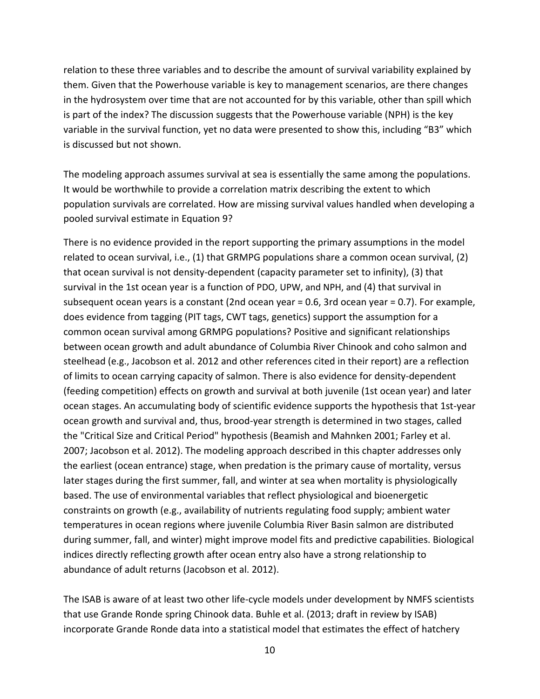relation to these three variables and to describe the amount of survival variability explained by them. Given that the Powerhouse variable is key to management scenarios, are there changes in the hydrosystem over time that are not accounted for by this variable, other than spill which is part of the index? The discussion suggests that the Powerhouse variable (NPH) is the key variable in the survival function, yet no data were presented to show this, including "B3" which is discussed but not shown.

The modeling approach assumes survival at sea is essentially the same among the populations. It would be worthwhile to provide a correlation matrix describing the extent to which population survivals are correlated. How are missing survival values handled when developing a pooled survival estimate in Equation 9?

There is no evidence provided in the report supporting the primary assumptions in the model related to ocean survival, i.e., (1) that GRMPG populations share a common ocean survival, (2) that ocean survival is not density‐dependent (capacity parameter set to infinity), (3) that survival in the 1st ocean year is a function of PDO, UPW, and NPH, and (4) that survival in subsequent ocean years is a constant (2nd ocean year = 0.6, 3rd ocean year = 0.7). For example, does evidence from tagging (PIT tags, CWT tags, genetics) support the assumption for a common ocean survival among GRMPG populations? Positive and significant relationships between ocean growth and adult abundance of Columbia River Chinook and coho salmon and steelhead (e.g., Jacobson et al. 2012 and other references cited in their report) are a reflection of limits to ocean carrying capacity of salmon. There is also evidence for density‐dependent (feeding competition) effects on growth and survival at both juvenile (1st ocean year) and later ocean stages. An accumulating body of scientific evidence supports the hypothesis that 1st‐year ocean growth and survival and, thus, brood‐year strength is determined in two stages, called the "Critical Size and Critical Period" hypothesis (Beamish and Mahnken 2001; Farley et al. 2007; Jacobson et al. 2012). The modeling approach described in this chapter addresses only the earliest (ocean entrance) stage, when predation is the primary cause of mortality, versus later stages during the first summer, fall, and winter at sea when mortality is physiologically based. The use of environmental variables that reflect physiological and bioenergetic constraints on growth (e.g., availability of nutrients regulating food supply; ambient water temperatures in ocean regions where juvenile Columbia River Basin salmon are distributed during summer, fall, and winter) might improve model fits and predictive capabilities. Biological indices directly reflecting growth after ocean entry also have a strong relationship to abundance of adult returns (Jacobson et al. 2012).

The ISAB is aware of at least two other life‐cycle models under development by NMFS scientists that use Grande Ronde spring Chinook data. Buhle et al. (2013; draft in review by ISAB) incorporate Grande Ronde data into a statistical model that estimates the effect of hatchery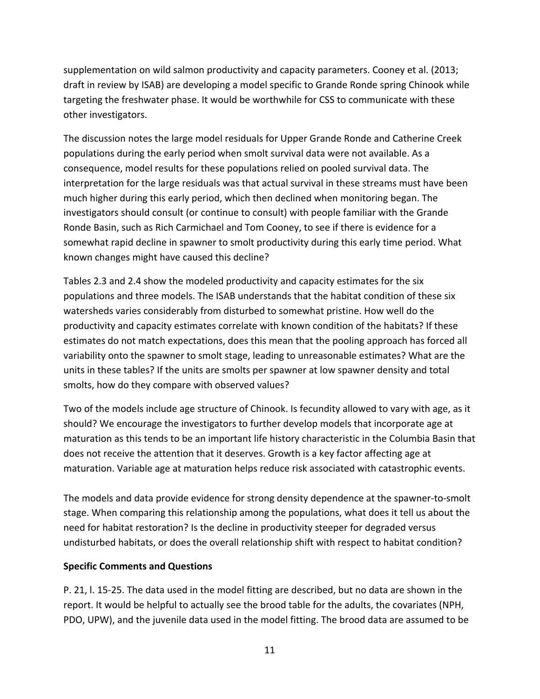supplementation on wild salmon productivity and capacity parameters. Cooney et al. (2013; draft in review by ISAB) are developing a model specific to Grande Ronde spring Chinook while targeting the freshwater phase. It would be worthwhile for CSS to communicate with these other investigators.

The discussion notes the large model residuals for Upper Grande Ronde and Catherine Creek populations during the early period when smolt survival data were not available. As a consequence, model results for these populations relied on pooled survival data. The interpretation for the large residuals was that actual survival in these streams must have been much higher during this early period, which then declined when monitoring began. The investigators should consult (or continue to consult) with people familiar with the Grande Ronde Basin, such as Rich Carmichael and Tom Cooney, to see if there is evidence for a somewhat rapid decline in spawner to smolt productivity during this early time period. What known changes might have caused this decline?

Tables 2.3 and 2.4 show the modeled productivity and capacity estimates for the six populations and three models. The ISAB understands that the habitat condition of these six watersheds varies considerably from disturbed to somewhat pristine. How well do the productivity and capacity estimates correlate with known condition of the habitats? If these estimates do not match expectations, does this mean that the pooling approach has forced all variability onto the spawner to smolt stage, leading to unreasonable estimates? What are the units in these tables? If the units are smolts per spawner at low spawner density and total smolts, how do they compare with observed values?

Two of the models include age structure of Chinook. Is fecundity allowed to vary with age, as it should? We encourage the investigators to further develop models that incorporate age at maturation as this tends to be an important life history characteristic in the Columbia Basin that does not receive the attention that it deserves. Growth is a key factor affecting age at maturation. Variable age at maturation helps reduce risk associated with catastrophic events.

The models and data provide evidence for strong density dependence at the spawner‐to‐smolt stage. When comparing this relationship among the populations, what does it tell us about the need for habitat restoration? Is the decline in productivity steeper for degraded versus undisturbed habitats, or does the overall relationship shift with respect to habitat condition?

#### **Specific Comments and Questions**

P. 21, l. 15‐25. The data used in the model fitting are described, but no data are shown in the report. It would be helpful to actually see the brood table for the adults, the covariates (NPH, PDO, UPW), and the juvenile data used in the model fitting. The brood data are assumed to be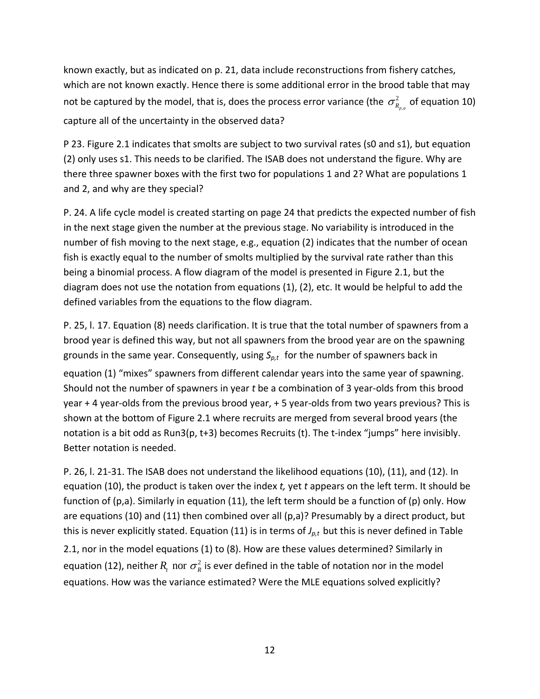known exactly, but as indicated on p. 21, data include reconstructions from fishery catches, which are not known exactly. Hence there is some additional error in the brood table that may not be captured by the model, that is, does the process error variance (the  $\sigma^2_{\tiny R_{p,a}}$  of equation 10) capture all of the uncertainty in the observed data?

P 23. Figure 2.1 indicates that smolts are subject to two survival rates (s0 and s1), but equation (2) only uses s1. This needs to be clarified. The ISAB does not understand the figure. Why are there three spawner boxes with the first two for populations 1 and 2? What are populations 1 and 2, and why are they special?

P. 24. A life cycle model is created starting on page 24 that predicts the expected number of fish in the next stage given the number at the previous stage. No variability is introduced in the number of fish moving to the next stage, e.g., equation (2) indicates that the number of ocean fish is exactly equal to the number of smolts multiplied by the survival rate rather than this being a binomial process. A flow diagram of the model is presented in Figure 2.1, but the diagram does not use the notation from equations (1), (2), etc. It would be helpful to add the defined variables from the equations to the flow diagram.

P. 25, l. 17. Equation (8) needs clarification. It is true that the total number of spawners from a brood year is defined this way, but not all spawners from the brood year are on the spawning grounds in the same year. Consequently, using S<sub>p,t</sub> for the number of spawners back in equation (1) "mixes" spawners from different calendar years into the same year of spawning. Should not the number of spawners in year *t* be a combination of 3 year‐olds from this brood year + 4 year-olds from the previous brood year, + 5 year-olds from two years previous? This is shown at the bottom of Figure 2.1 where recruits are merged from several brood years (the notation is a bit odd as Run3(p, t+3) becomes Recruits (t). The t-index "jumps" here invisibly. Better notation is needed.

P. 26, l. 21‐31. The ISAB does not understand the likelihood equations (10), (11), and (12). In equation (10), the product is taken over the index *t,* yet *t* appears on the left term. It should be function of (p,a). Similarly in equation (11), the left term should be a function of (p) only. How are equations (10) and (11) then combined over all (p,a)? Presumably by a direct product, but this is never explicitly stated. Equation (11) is in terms of  $J_{p,t}$  but this is never defined in Table

2.1, nor in the model equations (1) to (8). How are these values determined? Similarly in equation (12), neither  $R_{_{t}}$  nor  $\sigma_{_{R}}^{2}$  is ever defined in the table of notation nor in the model equations. How was the variance estimated? Were the MLE equations solved explicitly?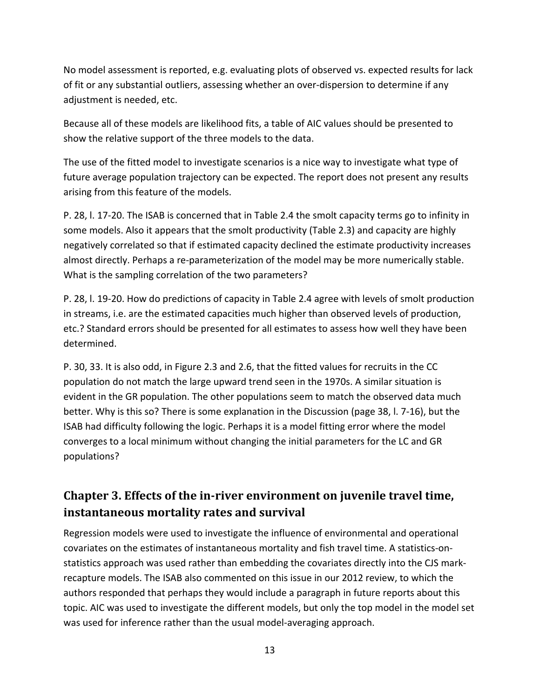No model assessment is reported, e.g. evaluating plots of observed vs. expected results for lack of fit or any substantial outliers, assessing whether an over‐dispersion to determine if any adjustment is needed, etc.

Because all of these models are likelihood fits, a table of AIC values should be presented to show the relative support of the three models to the data.

The use of the fitted model to investigate scenarios is a nice way to investigate what type of future average population trajectory can be expected. The report does not present any results arising from this feature of the models.

P. 28, l. 17‐20. The ISAB is concerned that in Table 2.4 the smolt capacity terms go to infinity in some models. Also it appears that the smolt productivity (Table 2.3) and capacity are highly negatively correlated so that if estimated capacity declined the estimate productivity increases almost directly. Perhaps a re‐parameterization of the model may be more numerically stable. What is the sampling correlation of the two parameters?

P. 28, l. 19‐20. How do predictions of capacity in Table 2.4 agree with levels of smolt production in streams, i.e. are the estimated capacities much higher than observed levels of production, etc.? Standard errors should be presented for all estimates to assess how well they have been determined.

P. 30, 33. It is also odd, in Figure 2.3 and 2.6, that the fitted values for recruits in the CC population do not match the large upward trend seen in the 1970s. A similar situation is evident in the GR population. The other populations seem to match the observed data much better. Why is this so? There is some explanation in the Discussion (page 38, l. 7‐16), but the ISAB had difficulty following the logic. Perhaps it is a model fitting error where the model converges to a local minimum without changing the initial parameters for the LC and GR populations?

#### **Chapter 3. Effects of the in‐river environment on juvenile travel time, instantaneous mortality rates and survival**

Regression models were used to investigate the influence of environmental and operational covariates on the estimates of instantaneous mortality and fish travel time. A statistics‐on‐ statistics approach was used rather than embedding the covariates directly into the CJS mark‐ recapture models. The ISAB also commented on this issue in our 2012 review, to which the authors responded that perhaps they would include a paragraph in future reports about this topic. AIC was used to investigate the different models, but only the top model in the model set was used for inference rather than the usual model‐averaging approach.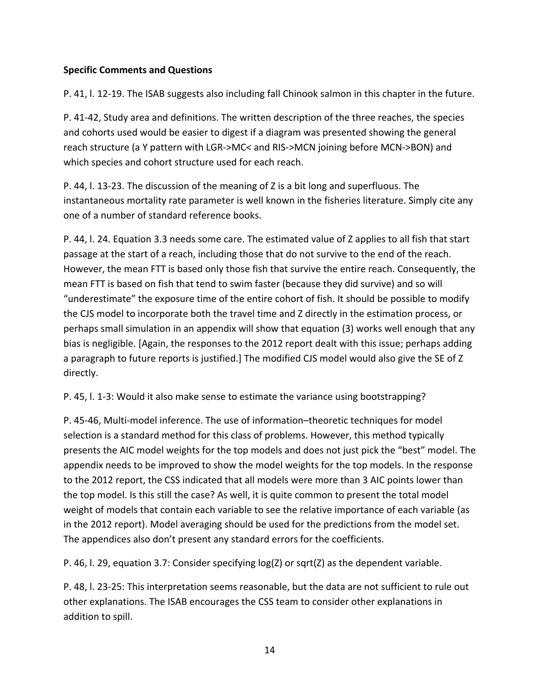#### **Specific Comments and Questions**

P. 41, l. 12‐19. The ISAB suggests also including fall Chinook salmon in this chapter in the future.

P. 41‐42, Study area and definitions. The written description of the three reaches, the species and cohorts used would be easier to digest if a diagram was presented showing the general reach structure (a Y pattern with LGR‐>MC< and RIS‐>MCN joining before MCN‐>BON) and which species and cohort structure used for each reach.

P. 44, l. 13‐23. The discussion of the meaning of Z is a bit long and superfluous. The instantaneous mortality rate parameter is well known in the fisheries literature. Simply cite any one of a number of standard reference books.

P. 44, l. 24. Equation 3.3 needs some care. The estimated value of Z applies to all fish that start passage at the start of a reach, including those that do not survive to the end of the reach. However, the mean FTT is based only those fish that survive the entire reach. Consequently, the mean FTT is based on fish that tend to swim faster (because they did survive) and so will "underestimate" the exposure time of the entire cohort of fish. It should be possible to modify the CJS model to incorporate both the travel time and Z directly in the estimation process, or perhaps small simulation in an appendix will show that equation (3) works well enough that any bias is negligible. [Again, the responses to the 2012 report dealt with this issue; perhaps adding a paragraph to future reports is justified.] The modified CJS model would also give the SE of Z directly.

P. 45, l. 1‐3: Would it also make sense to estimate the variance using bootstrapping?

P. 45‐46, Multi‐model inference. The use of information–theoretic techniques for model selection is a standard method for this class of problems. However, this method typically presents the AIC model weights for the top models and does not just pick the "best" model. The appendix needs to be improved to show the model weights for the top models. In the response to the 2012 report, the CSS indicated that all models were more than 3 AIC points lower than the top model. Is this still the case? As well, it is quite common to present the total model weight of models that contain each variable to see the relative importance of each variable (as in the 2012 report). Model averaging should be used for the predictions from the model set. The appendices also don't present any standard errors for the coefficients.

P. 46, l. 29, equation 3.7: Consider specifying log(Z) or sqrt(Z) as the dependent variable.

P. 48, l. 23‐25: This interpretation seems reasonable, but the data are not sufficient to rule out other explanations. The ISAB encourages the CSS team to consider other explanations in addition to spill.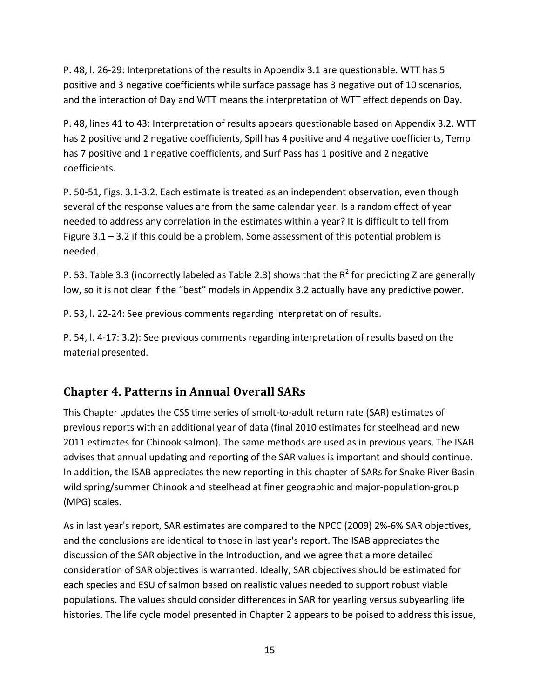P. 48, l. 26‐29: Interpretations of the results in Appendix 3.1 are questionable. WTT has 5 positive and 3 negative coefficients while surface passage has 3 negative out of 10 scenarios, and the interaction of Day and WTT means the interpretation of WTT effect depends on Day.

P. 48, lines 41 to 43: Interpretation of results appears questionable based on Appendix 3.2. WTT has 2 positive and 2 negative coefficients, Spill has 4 positive and 4 negative coefficients, Temp has 7 positive and 1 negative coefficients, and Surf Pass has 1 positive and 2 negative coefficients.

P. 50‐51, Figs. 3.1‐3.2. Each estimate is treated as an independent observation, even though several of the response values are from the same calendar year. Is a random effect of year needed to address any correlation in the estimates within a year? It is difficult to tell from Figure  $3.1 - 3.2$  if this could be a problem. Some assessment of this potential problem is needed.

P. 53. Table 3.3 (incorrectly labeled as Table 2.3) shows that the  $R^2$  for predicting Z are generally low, so it is not clear if the "best" models in Appendix 3.2 actually have any predictive power.

P. 53, l. 22‐24: See previous comments regarding interpretation of results.

P. 54, l. 4‐17: 3.2): See previous comments regarding interpretation of results based on the material presented.

#### **Chapter 4. Patterns in Annual Overall SARs**

This Chapter updates the CSS time series of smolt‐to‐adult return rate (SAR) estimates of previous reports with an additional year of data (final 2010 estimates for steelhead and new 2011 estimates for Chinook salmon). The same methods are used as in previous years. The ISAB advises that annual updating and reporting of the SAR values is important and should continue. In addition, the ISAB appreciates the new reporting in this chapter of SARs for Snake River Basin wild spring/summer Chinook and steelhead at finer geographic and major-population-group (MPG) scales.

As in last year's report, SAR estimates are compared to the NPCC (2009) 2%‐6% SAR objectives, and the conclusions are identical to those in last year's report. The ISAB appreciates the discussion of the SAR objective in the Introduction, and we agree that a more detailed consideration of SAR objectives is warranted. Ideally, SAR objectives should be estimated for each species and ESU of salmon based on realistic values needed to support robust viable populations. The values should consider differences in SAR for yearling versus subyearling life histories. The life cycle model presented in Chapter 2 appears to be poised to address this issue,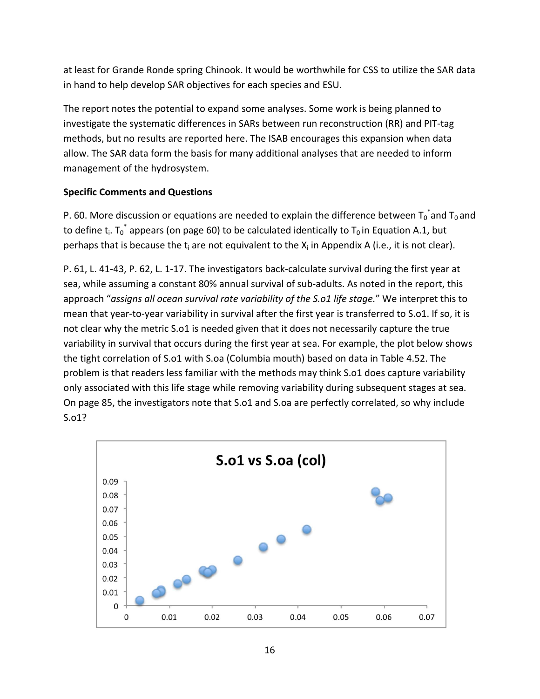at least for Grande Ronde spring Chinook. It would be worthwhile for CSS to utilize the SAR data in hand to help develop SAR objectives for each species and ESU.

The report notes the potential to expand some analyses. Some work is being planned to investigate the systematic differences in SARs between run reconstruction (RR) and PIT‐tag methods, but no results are reported here. The ISAB encourages this expansion when data allow. The SAR data form the basis for many additional analyses that are needed to inform management of the hydrosystem.

#### **Specific Comments and Questions**

P. 60. More discussion or equations are needed to explain the difference between  $T_0^*$  and  $T_0$  and to define t<sub>i</sub>. T<sub>0</sub><sup>\*</sup> appears (on page 60) to be calculated identically to T<sub>0</sub> in Equation A.1, but perhaps that is because the  $t_i$  are not equivalent to the  $X_i$  in Appendix A (i.e., it is not clear).

P. 61, L. 41‐43, P. 62, L. 1‐17. The investigators back‐calculate survival during the first year at sea, while assuming a constant 80% annual survival of sub-adults. As noted in the report, this approach "*assigns all ocean survival rate variability of the S.o1 life stage.*" We interpret this to mean that year-to-year variability in survival after the first year is transferred to S.o1. If so, it is not clear why the metric S.o1 is needed given that it does not necessarily capture the true variability in survival that occurs during the first year at sea. For example, the plot below shows the tight correlation of S.o1 with S.oa (Columbia mouth) based on data in Table 4.52. The problem is that readers less familiar with the methods may think S.o1 does capture variability only associated with this life stage while removing variability during subsequent stages at sea. On page 85, the investigators note that S.o1 and S.oa are perfectly correlated, so why include S.o1?

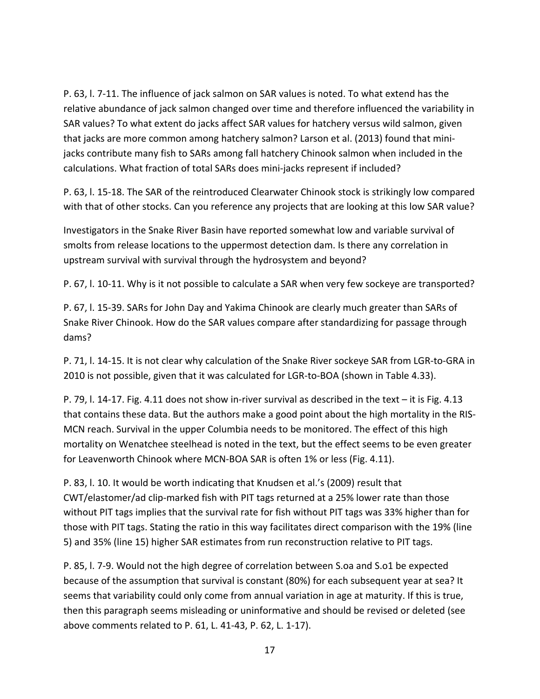P. 63, l. 7‐11. The influence of jack salmon on SAR values is noted. To what extend has the relative abundance of jack salmon changed over time and therefore influenced the variability in SAR values? To what extent do jacks affect SAR values for hatchery versus wild salmon, given that jacks are more common among hatchery salmon? Larson et al. (2013) found that mini‐ jacks contribute many fish to SARs among fall hatchery Chinook salmon when included in the calculations. What fraction of total SARs does mini‐jacks represent if included?

P. 63, l. 15‐18. The SAR of the reintroduced Clearwater Chinook stock is strikingly low compared with that of other stocks. Can you reference any projects that are looking at this low SAR value?

Investigators in the Snake River Basin have reported somewhat low and variable survival of smolts from release locations to the uppermost detection dam. Is there any correlation in upstream survival with survival through the hydrosystem and beyond?

P. 67, l. 10‐11. Why is it not possible to calculate a SAR when very few sockeye are transported?

P. 67, l. 15‐39. SARs for John Day and Yakima Chinook are clearly much greater than SARs of Snake River Chinook. How do the SAR values compare after standardizing for passage through dams?

P. 71, l. 14‐15. It is not clear why calculation of the Snake River sockeye SAR from LGR‐to‐GRA in 2010 is not possible, given that it was calculated for LGR-to-BOA (shown in Table 4.33).

P. 79, l. 14‐17. Fig. 4.11 does not show in‐river survival as described in the text – it is Fig. 4.13 that contains these data. But the authors make a good point about the high mortality in the RIS‐ MCN reach. Survival in the upper Columbia needs to be monitored. The effect of this high mortality on Wenatchee steelhead is noted in the text, but the effect seems to be even greater for Leavenworth Chinook where MCN-BOA SAR is often 1% or less (Fig. 4.11).

P. 83, l. 10. It would be worth indicating that Knudsen et al.'s (2009) result that CWT/elastomer/ad clip‐marked fish with PIT tags returned at a 25% lower rate than those without PIT tags implies that the survival rate for fish without PIT tags was 33% higher than for those with PIT tags. Stating the ratio in this way facilitates direct comparison with the 19% (line 5) and 35% (line 15) higher SAR estimates from run reconstruction relative to PIT tags.

P. 85, l. 7‐9. Would not the high degree of correlation between S.oa and S.o1 be expected because of the assumption that survival is constant (80%) for each subsequent year at sea? It seems that variability could only come from annual variation in age at maturity. If this is true, then this paragraph seems misleading or uninformative and should be revised or deleted (see above comments related to P. 61, L. 41‐43, P. 62, L. 1‐17).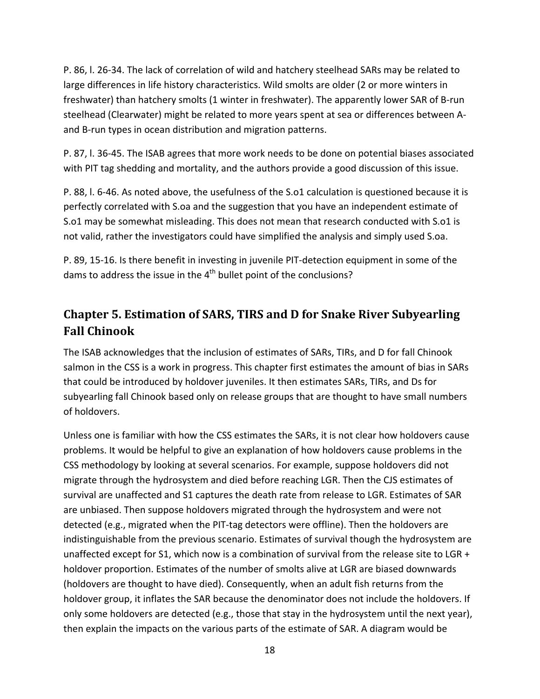P. 86, l. 26‐34. The lack of correlation of wild and hatchery steelhead SARs may be related to large differences in life history characteristics. Wild smolts are older (2 or more winters in freshwater) than hatchery smolts (1 winter in freshwater). The apparently lower SAR of B‐run steelhead (Clearwater) might be related to more years spent at sea or differences between A‐ and B-run types in ocean distribution and migration patterns.

P. 87, l. 36‐45. The ISAB agrees that more work needs to be done on potential biases associated with PIT tag shedding and mortality, and the authors provide a good discussion of this issue.

P. 88, l. 6‐46. As noted above, the usefulness of the S.o1 calculation is questioned because it is perfectly correlated with S.oa and the suggestion that you have an independent estimate of S.o1 may be somewhat misleading. This does not mean that research conducted with S.o1 is not valid, rather the investigators could have simplified the analysis and simply used S.oa.

P. 89, 15‐16. Is there benefit in investing in juvenile PIT‐detection equipment in some of the dams to address the issue in the 4<sup>th</sup> bullet point of the conclusions?

## **Chapter 5. Estimation of SARS, TIRS and D for Snake River Subyearling Fall Chinook**

The ISAB acknowledges that the inclusion of estimates of SARs, TIRs, and D for fall Chinook salmon in the CSS is a work in progress. This chapter first estimates the amount of bias in SARs that could be introduced by holdover juveniles. It then estimates SARs, TIRs, and Ds for subyearling fall Chinook based only on release groups that are thought to have small numbers of holdovers.

Unless one is familiar with how the CSS estimates the SARs, it is not clear how holdovers cause problems. It would be helpful to give an explanation of how holdovers cause problems in the CSS methodology by looking at several scenarios. For example, suppose holdovers did not migrate through the hydrosystem and died before reaching LGR. Then the CJS estimates of survival are unaffected and S1 captures the death rate from release to LGR. Estimates of SAR are unbiased. Then suppose holdovers migrated through the hydrosystem and were not detected (e.g., migrated when the PIT‐tag detectors were offline). Then the holdovers are indistinguishable from the previous scenario. Estimates of survival though the hydrosystem are unaffected except for S1, which now is a combination of survival from the release site to LGR + holdover proportion. Estimates of the number of smolts alive at LGR are biased downwards (holdovers are thought to have died). Consequently, when an adult fish returns from the holdover group, it inflates the SAR because the denominator does not include the holdovers. If only some holdovers are detected (e.g., those that stay in the hydrosystem until the next year), then explain the impacts on the various parts of the estimate of SAR. A diagram would be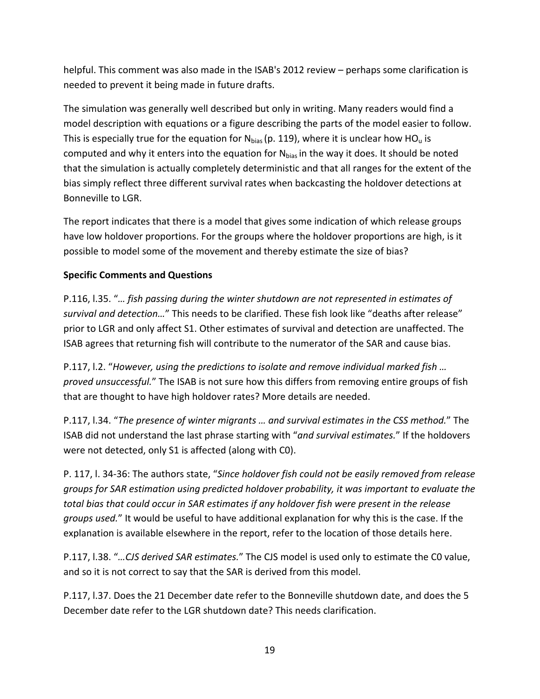helpful. This comment was also made in the ISAB's 2012 review – perhaps some clarification is needed to prevent it being made in future drafts.

The simulation was generally well described but only in writing. Many readers would find a model description with equations or a figure describing the parts of the model easier to follow. This is especially true for the equation for  $N_{bias}$  (p. 119), where it is unclear how HO<sub>u</sub> is computed and why it enters into the equation for  $N_{bias}$  in the way it does. It should be noted that the simulation is actually completely deterministic and that all ranges for the extent of the bias simply reflect three different survival rates when backcasting the holdover detections at Bonneville to LGR.

The report indicates that there is a model that gives some indication of which release groups have low holdover proportions. For the groups where the holdover proportions are high, is it possible to model some of the movement and thereby estimate the size of bias?

#### **Specific Comments and Questions**

P.116, l.35. "*… fish passing during the winter shutdown are not represented in estimates of survival and detection…*" This needs to be clarified. These fish look like "deaths after release" prior to LGR and only affect S1. Other estimates of survival and detection are unaffected. The ISAB agrees that returning fish will contribute to the numerator of the SAR and cause bias.

P.117, l.2. "*However, using the predictions to isolate and remove individual marked fish … proved unsuccessful.*" The ISAB is not sure how this differs from removing entire groups of fish that are thought to have high holdover rates? More details are needed.

P.117, l.34. "*The presence of winter migrants … and survival estimates in the CSS method.*" The ISAB did not understand the last phrase starting with "*and survival estimates.*" If the holdovers were not detected, only S1 is affected (along with C0).

P. 117, l. 34‐36: The authors state, "*Since holdover fish could not be easily removed from release groups for SAR estimation using predicted holdover probability, it was important to evaluate the total bias that could occur in SAR estimates if any holdover fish were present in the release groups used.*" It would be useful to have additional explanation for why this is the case. If the explanation is available elsewhere in the report, refer to the location of those details here.

P.117, l.38. "*…CJS derived SAR estimates.*" The CJS model is used only to estimate the C0 value, and so it is not correct to say that the SAR is derived from this model.

P.117, l.37. Does the 21 December date refer to the Bonneville shutdown date, and does the 5 December date refer to the LGR shutdown date? This needs clarification.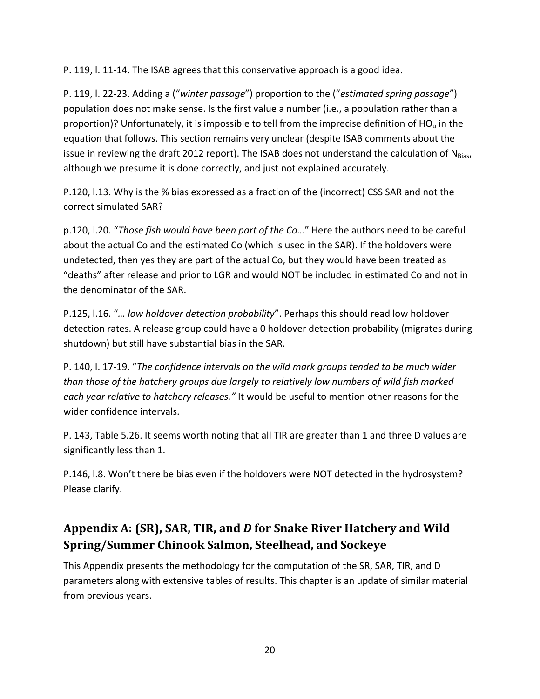P. 119, l. 11‐14. The ISAB agrees that this conservative approach is a good idea.

P. 119, l. 22‐23. Adding a ("*winter passage*") proportion to the ("*estimated spring passage*") population does not make sense. Is the first value a number (i.e., a population rather than a proportion)? Unfortunately, it is impossible to tell from the imprecise definition of  $HO<sub>u</sub>$  in the equation that follows. This section remains very unclear (despite ISAB comments about the issue in reviewing the draft 2012 report). The ISAB does not understand the calculation of  $N_{Bias}$ , although we presume it is done correctly, and just not explained accurately.

P.120, l.13. Why is the % bias expressed as a fraction of the (incorrect) CSS SAR and not the correct simulated SAR?

p.120, l.20. "*Those fish would have been part of the Co…*" Here the authors need to be careful about the actual Co and the estimated Co (which is used in the SAR). If the holdovers were undetected, then yes they are part of the actual Co, but they would have been treated as "deaths" after release and prior to LGR and would NOT be included in estimated Co and not in the denominator of the SAR.

P.125, l.16. "*… low holdover detection probability*". Perhaps this should read low holdover detection rates. A release group could have a 0 holdover detection probability (migrates during shutdown) but still have substantial bias in the SAR.

P. 140, l. 17‐19. "*The confidence intervals on the wild mark groups tended to be much wider than those of the hatchery groups due largely to relatively low numbers of wild fish marked each year relative to hatchery releases."* It would be useful to mention other reasons for the wider confidence intervals.

P. 143, Table 5.26. It seems worth noting that all TIR are greater than 1 and three D values are significantly less than 1.

P.146, l.8. Won't there be bias even if the holdovers were NOT detected in the hydrosystem? Please clarify.

## **Appendix A: (SR), SAR, TIR, and** *D* **for Snake River Hatchery and Wild Spring/Summer Chinook Salmon, Steelhead, and Sockeye**

This Appendix presents the methodology for the computation of the SR, SAR, TIR, and D parameters along with extensive tables of results. This chapter is an update of similar material from previous years.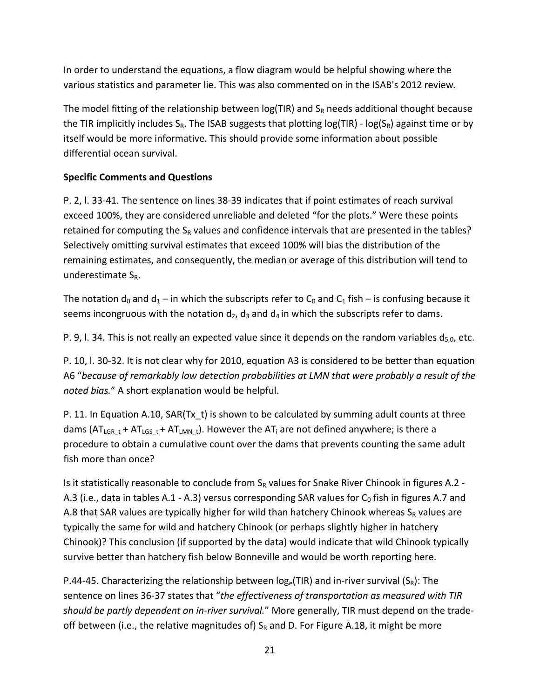In order to understand the equations, a flow diagram would be helpful showing where the various statistics and parameter lie. This was also commented on in the ISAB's 2012 review.

The model fitting of the relationship between  $log(TIR)$  and  $S_R$  needs additional thought because the TIR implicitly includes  $S_R$ . The ISAB suggests that plotting  $log(TIR)$  -  $log(S_R)$  against time or by itself would be more informative. This should provide some information about possible differential ocean survival.

#### **Specific Comments and Questions**

P. 2, l. 33‐41. The sentence on lines 38‐39 indicates that if point estimates of reach survival exceed 100%, they are considered unreliable and deleted "for the plots." Were these points retained for computing the  $S_R$  values and confidence intervals that are presented in the tables? Selectively omitting survival estimates that exceed 100% will bias the distribution of the remaining estimates, and consequently, the median or average of this distribution will tend to underestimate  $S_R$ .

The notation  $d_0$  and  $d_1$  – in which the subscripts refer to  $C_0$  and  $C_1$  fish – is confusing because it seems incongruous with the notation  $d_2$ ,  $d_3$  and  $d_4$  in which the subscripts refer to dams.

P. 9, I. 34. This is not really an expected value since it depends on the random variables  $d_{5,0}$ , etc.

P. 10, l. 30‐32. It is not clear why for 2010, equation A3 is considered to be better than equation A6 "*because of remarkably low detection probabilities at LMN that were probably a result of the noted bias.*" A short explanation would be helpful.

P. 11. In Equation A.10, SAR(Tx\_t) is shown to be calculated by summing adult counts at three dams ( $AT_{LGR_t}$  +  $AT_{LGS_t}$  +  $AT_{LMN_t}$ ). However the  $AT_i$  are not defined anywhere; is there a procedure to obtain a cumulative count over the dams that prevents counting the same adult fish more than once?

Is it statistically reasonable to conclude from  $S_R$  values for Snake River Chinook in figures A.2 -A.3 (i.e., data in tables A.1 - A.3) versus corresponding SAR values for  $C_0$  fish in figures A.7 and A.8 that SAR values are typically higher for wild than hatchery Chinook whereas  $S_R$  values are typically the same for wild and hatchery Chinook (or perhaps slightly higher in hatchery Chinook)? This conclusion (if supported by the data) would indicate that wild Chinook typically survive better than hatchery fish below Bonneville and would be worth reporting here.

P.44-45. Characterizing the relationship between  $log_e(TIR)$  and in-river survival  $(S_R)$ : The sentence on lines 36‐37 states that "*the effectiveness of transportation as measured with TIR should be partly dependent on in‐river survival.*" More generally, TIR must depend on the trade‐ off between (i.e., the relative magnitudes of)  $S_R$  and D. For Figure A.18, it might be more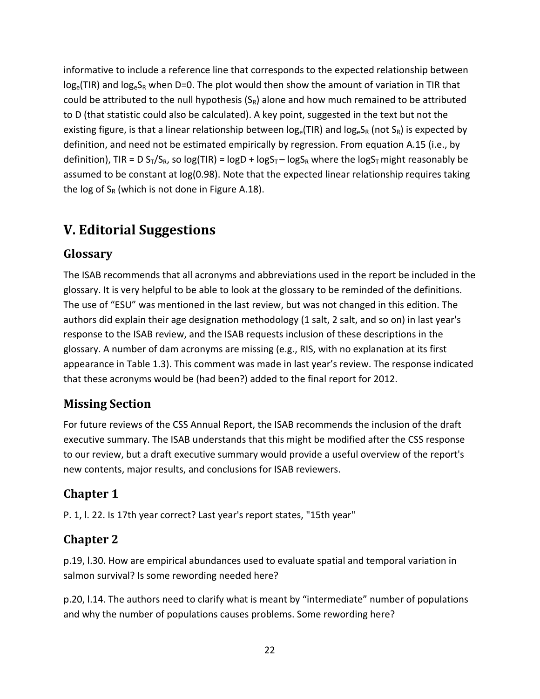informative to include a reference line that corresponds to the expected relationship between  $log_e(TIR)$  and  $log_eS_R$  when D=0. The plot would then show the amount of variation in TIR that could be attributed to the null hypothesis  $(S_R)$  alone and how much remained to be attributed to D (that statistic could also be calculated). A key point, suggested in the text but not the existing figure, is that a linear relationship between  $log_e(TIR)$  and  $log_eS_R$  (not  $S_R$ ) is expected by definition, and need not be estimated empirically by regression. From equation A.15 (i.e., by definition), TIR = D S<sub>T</sub>/S<sub>R</sub>, so log(TIR) = logD + logS<sub>T</sub> – logS<sub>R</sub> where the logS<sub>T</sub> might reasonably be assumed to be constant at log(0.98). Note that the expected linear relationship requires taking the log of  $S_R$  (which is not done in Figure A.18).

## **V. Editorial Suggestions**

#### Glossary

The ISAB recommends that all acronyms and abbreviations used in the report be included in the glossary. It is very helpful to be able to look at the glossary to be reminded of the definitions. The use of "ESU" was mentioned in the last review, but was not changed in this edition. The authors did explain their age designation methodology (1 salt, 2 salt, and so on) in last year's response to the ISAB review, and the ISAB requests inclusion of these descriptions in the glossary. A number of dam acronyms are missing (e.g., RIS, with no explanation at its first appearance in Table 1.3). This comment was made in last year's review. The response indicated that these acronyms would be (had been?) added to the final report for 2012.

#### **Missing Section**

For future reviews of the CSS Annual Report, the ISAB recommends the inclusion of the draft executive summary. The ISAB understands that this might be modified after the CSS response to our review, but a draft executive summary would provide a useful overview of the report's new contents, major results, and conclusions for ISAB reviewers.

#### **Chapter 1**

P. 1, l. 22. Is 17th year correct? Last year's report states, "15th year"

#### **Chapter 2**

p.19, l.30. How are empirical abundances used to evaluate spatial and temporal variation in salmon survival? Is some rewording needed here?

p.20, l.14. The authors need to clarify what is meant by "intermediate" number of populations and why the number of populations causes problems. Some rewording here?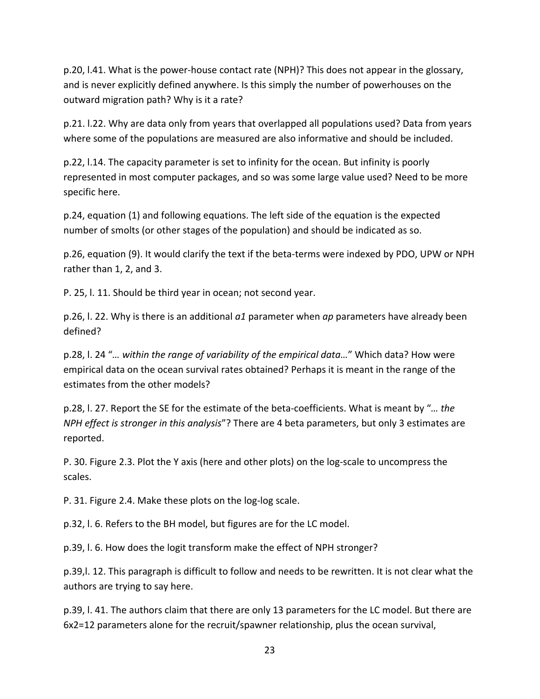p.20, l.41. What is the power‐house contact rate (NPH)? This does not appear in the glossary, and is never explicitly defined anywhere. Is this simply the number of powerhouses on the outward migration path? Why is it a rate?

p.21. l.22. Why are data only from years that overlapped all populations used? Data from years where some of the populations are measured are also informative and should be included.

p.22, l.14. The capacity parameter is set to infinity for the ocean. But infinity is poorly represented in most computer packages, and so was some large value used? Need to be more specific here.

p.24, equation (1) and following equations. The left side of the equation is the expected number of smolts (or other stages of the population) and should be indicated as so.

p.26, equation (9). It would clarify the text if the beta‐terms were indexed by PDO, UPW or NPH rather than 1, 2, and 3.

P. 25, l. 11. Should be third year in ocean; not second year.

p.26, l. 22. Why is there is an additional *a1* parameter when *ap* parameters have already been defined?

p.28, l. 24 "*… within the range of variability of the empirical data…*" Which data? How were empirical data on the ocean survival rates obtained? Perhaps it is meant in the range of the estimates from the other models?

p.28, l. 27. Report the SE for the estimate of the beta‐coefficients. What is meant by "*… the NPH effect is stronger in this analysis*"? There are 4 beta parameters, but only 3 estimates are reported.

P. 30. Figure 2.3. Plot the Y axis (here and other plots) on the log‐scale to uncompress the scales.

P. 31. Figure 2.4. Make these plots on the log‐log scale.

p.32, l. 6. Refers to the BH model, but figures are for the LC model.

p.39, l. 6. How does the logit transform make the effect of NPH stronger?

p.39,l. 12. This paragraph is difficult to follow and needs to be rewritten. It is not clear what the authors are trying to say here.

p.39, l. 41. The authors claim that there are only 13 parameters for the LC model. But there are 6x2=12 parameters alone for the recruit/spawner relationship, plus the ocean survival,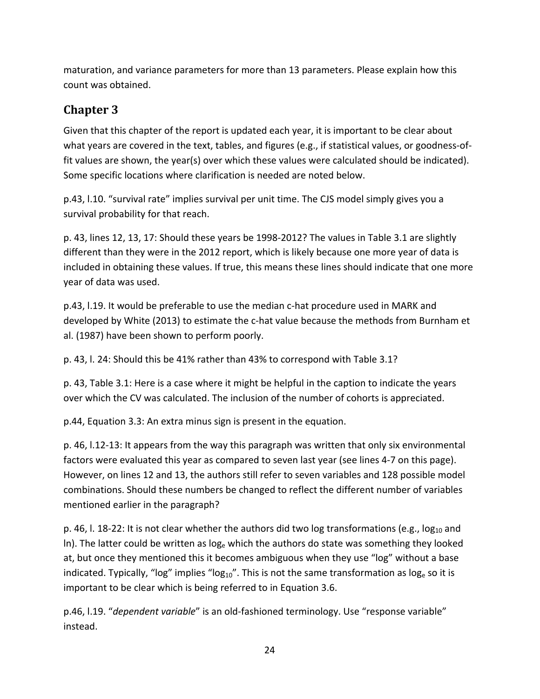maturation, and variance parameters for more than 13 parameters. Please explain how this count was obtained.

#### **Chapter 3**

Given that this chapter of the report is updated each year, it is important to be clear about what years are covered in the text, tables, and figures (e.g., if statistical values, or goodness-offit values are shown, the year(s) over which these values were calculated should be indicated). Some specific locations where clarification is needed are noted below.

p.43, l.10. "survival rate" implies survival per unit time. The CJS model simply gives you a survival probability for that reach.

p. 43, lines 12, 13, 17: Should these years be 1998‐2012? The values in Table 3.1 are slightly different than they were in the 2012 report, which is likely because one more year of data is included in obtaining these values. If true, this means these lines should indicate that one more year of data was used.

p.43, I.19. It would be preferable to use the median c-hat procedure used in MARK and developed by White (2013) to estimate the c-hat value because the methods from Burnham et al. (1987) have been shown to perform poorly.

p. 43, l. 24: Should this be 41% rather than 43% to correspond with Table 3.1?

p. 43, Table 3.1: Here is a case where it might be helpful in the caption to indicate the years over which the CV was calculated. The inclusion of the number of cohorts is appreciated.

p.44, Equation 3.3: An extra minus sign is present in the equation.

p. 46, l.12‐13: It appears from the way this paragraph was written that only six environmental factors were evaluated this year as compared to seven last year (see lines 4‐7 on this page). However, on lines 12 and 13, the authors still refer to seven variables and 128 possible model combinations. Should these numbers be changed to reflect the different number of variables mentioned earlier in the paragraph?

p. 46, l. 18-22: It is not clear whether the authors did two log transformations (e.g., log<sub>10</sub> and In). The latter could be written as  $log<sub>e</sub>$  which the authors do state was something they looked at, but once they mentioned this it becomes ambiguous when they use "log" without a base indicated. Typically, "log" implies "log<sub>10</sub>". This is not the same transformation as log<sub>e</sub> so it is important to be clear which is being referred to in Equation 3.6.

p.46, l.19. "*dependent variable*" is an old‐fashioned terminology. Use "response variable" instead.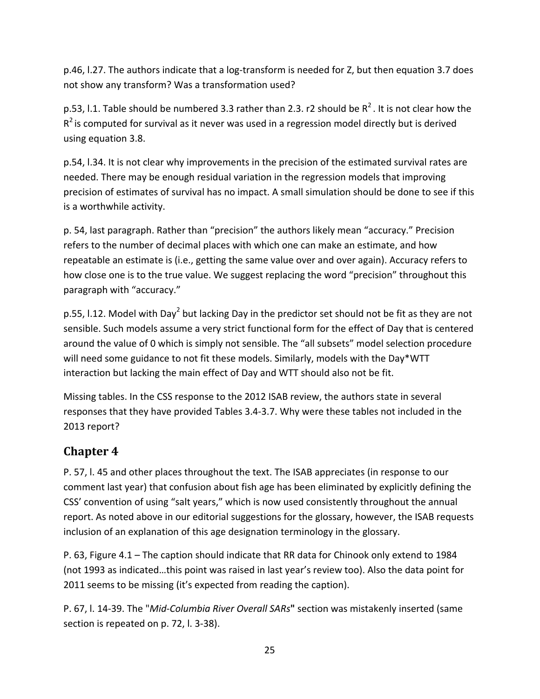p.46, l.27. The authors indicate that a log‐transform is needed for Z, but then equation 3.7 does not show any transform? Was a transformation used?

p.53, l.1. Table should be numbered 3.3 rather than 2.3. r2 should be  $R^2$ . It is not clear how the  $R^2$  is computed for survival as it never was used in a regression model directly but is derived using equation 3.8.

p.54, l.34. It is not clear why improvements in the precision of the estimated survival rates are needed. There may be enough residual variation in the regression models that improving precision of estimates of survival has no impact. A small simulation should be done to see if this is a worthwhile activity.

p. 54, last paragraph. Rather than "precision" the authors likely mean "accuracy." Precision refers to the number of decimal places with which one can make an estimate, and how repeatable an estimate is (i.e., getting the same value over and over again). Accuracy refers to how close one is to the true value. We suggest replacing the word "precision" throughout this paragraph with "accuracy."

p.55, I.12. Model with Day<sup>2</sup> but lacking Day in the predictor set should not be fit as they are not sensible. Such models assume a very strict functional form for the effect of Day that is centered around the value of 0 which is simply not sensible. The "all subsets" model selection procedure will need some guidance to not fit these models. Similarly, models with the Day\*WTT interaction but lacking the main effect of Day and WTT should also not be fit.

Missing tables. In the CSS response to the 2012 ISAB review, the authors state in several responses that they have provided Tables 3.4‐3.7. Why were these tables not included in the 2013 report?

#### **Chapter 4**

P. 57, l. 45 and other places throughout the text. The ISAB appreciates (in response to our comment last year) that confusion about fish age has been eliminated by explicitly defining the CSS' convention of using "salt years," which is now used consistently throughout the annual report. As noted above in our editorial suggestions for the glossary, however, the ISAB requests inclusion of an explanation of this age designation terminology in the glossary.

P. 63, Figure 4.1 – The caption should indicate that RR data for Chinook only extend to 1984 (not 1993 as indicated…this point was raised in last year's review too). Also the data point for 2011 seems to be missing (it's expected from reading the caption).

P. 67, l. 14‐39. The "*Mid‐Columbia River Overall SARs***"** section was mistakenly inserted (same section is repeated on p. 72, l. 3‐38).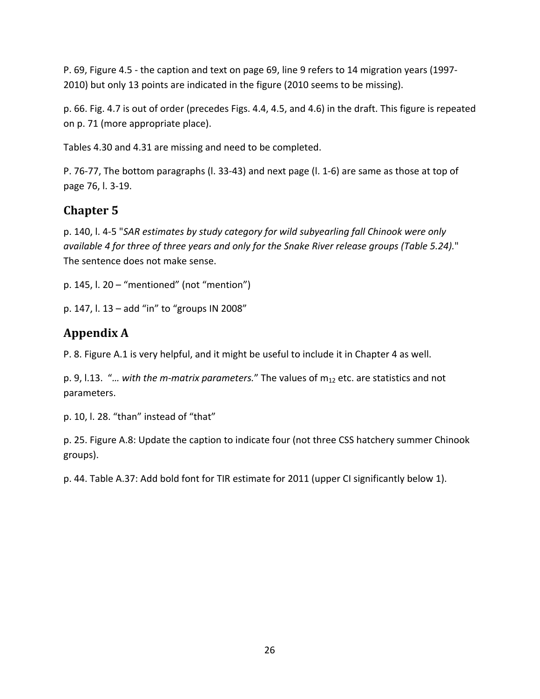P. 69, Figure 4.5 ‐ the caption and text on page 69, line 9 refers to 14 migration years (1997‐ 2010) but only 13 points are indicated in the figure (2010 seems to be missing).

p. 66. Fig. 4.7 is out of order (precedes Figs. 4.4, 4.5, and 4.6) in the draft. This figure is repeated on p. 71 (more appropriate place).

Tables 4.30 and 4.31 are missing and need to be completed.

P. 76‐77, The bottom paragraphs (l. 33‐43) and next page (l. 1‐6) are same as those at top of page 76, l. 3‐19.

## **Chapter 5**

p. 140, l. 4‐5 "*SAR estimates by study category for wild subyearling fall Chinook were only available 4 for three of three years and only for the Snake River release groups (Table 5.24).*" The sentence does not make sense.

p. 145, l. 20 – "mentioned" (not "mention")

p. 147, l. 13 – add "in" to "groups IN 2008"

## **Appendix A**

P. 8. Figure A.1 is very helpful, and it might be useful to include it in Chapter 4 as well.

p. 9, l.13. "*… with the m‐matrix parameters.*" The values of m12 etc. are statistics and not parameters.

p. 10, l. 28. "than" instead of "that"

p. 25. Figure A.8: Update the caption to indicate four (not three CSS hatchery summer Chinook groups).

p. 44. Table A.37: Add bold font for TIR estimate for 2011 (upper CI significantly below 1).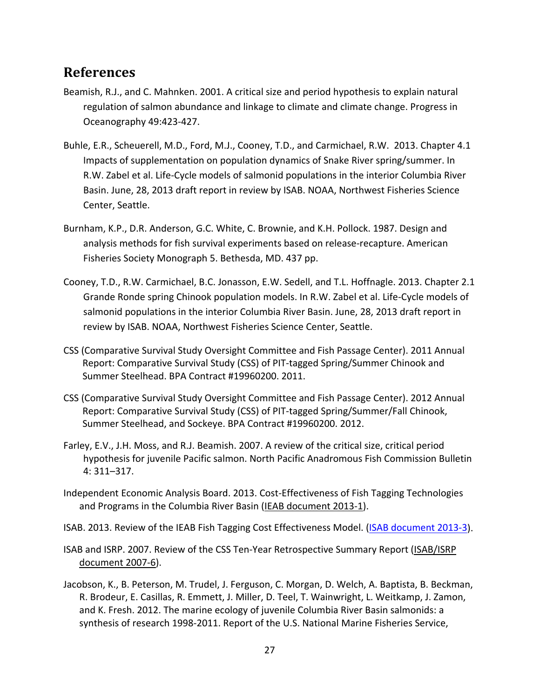#### **References**

- Beamish, R.J., and C. Mahnken. 2001. A critical size and period hypothesis to explain natural regulation of salmon abundance and linkage to climate and climate change. Progress in Oceanography 49:423‐427.
- Buhle, E.R., Scheuerell, M.D., Ford, M.J., Cooney, T.D., and Carmichael, R.W. 2013. Chapter 4.1 Impacts of supplementation on population dynamics of Snake River spring/summer. In R.W. Zabel et al. Life‐Cycle models of salmonid populations in the interior Columbia River Basin. June, 28, 2013 draft report in review by ISAB. NOAA, Northwest Fisheries Science Center, Seattle.
- Burnham, K.P., D.R. Anderson, G.C. White, C. Brownie, and K.H. Pollock. 1987. Design and analysis methods for fish survival experiments based on release‐recapture. American Fisheries Society Monograph 5. Bethesda, MD. 437 pp.
- Cooney, T.D., R.W. Carmichael, B.C. Jonasson, E.W. Sedell, and T.L. Hoffnagle. 2013. Chapter 2.1 Grande Ronde spring Chinook population models. In R.W. Zabel et al. Life‐Cycle models of salmonid populations in the interior Columbia River Basin. June, 28, 2013 draft report in review by ISAB. NOAA, Northwest Fisheries Science Center, Seattle.
- CSS (Comparative Survival Study Oversight Committee and Fish Passage Center). 2011 Annual Report: Comparative Survival Study (CSS) of PIT‐tagged Spring/Summer Chinook and Summer Steelhead. BPA Contract #19960200. 2011.
- CSS (Comparative Survival Study Oversight Committee and Fish Passage Center). 2012 Annual Report: Comparative Survival Study (CSS) of PIT‐tagged Spring/Summer/Fall Chinook, Summer Steelhead, and Sockeye. BPA Contract #19960200. 2012.
- Farley, E.V., J.H. Moss, and R.J. Beamish. 2007. A review of the critical size, critical period hypothesis for juvenile Pacific salmon. North Pacific Anadromous Fish Commission Bulletin 4: 311–317.
- Independent Economic Analysis Board. 2013. Cost‐Effectiveness of Fish Tagging Technologies and Programs in the Columbia River Basin (IEAB document 2013‐1).
- ISAB. 2013. Review of the IEAB Fish Tagging Cost Effectiveness Model. (ISAB document 2013-3).
- ISAB and ISRP. 2007. Review of the CSS Ten‐Year Retrospective Summary Report (ISAB/ISRP document 2007‐6).
- Jacobson, K., B. Peterson, M. Trudel, J. Ferguson, C. Morgan, D. Welch, A. Baptista, B. Beckman, R. Brodeur, E. Casillas, R. Emmett, J. Miller, D. Teel, T. Wainwright, L. Weitkamp, J. Zamon, and K. Fresh. 2012. The marine ecology of juvenile Columbia River Basin salmonids: a synthesis of research 1998‐2011. Report of the U.S. National Marine Fisheries Service,